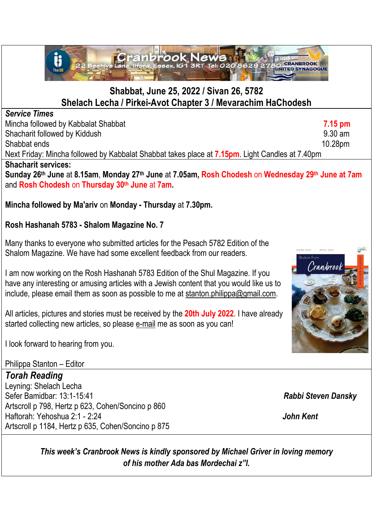

## **Shabbat, June 25, 2022 / Sivan 26, 5782 Shelach Lecha / Pirkei-Avot Chapter 3 / Mevarachim HaChodesh**

### *Service Times*

Mincha followed by Kabbalat Shabbat **7.15 pm** Shacharit followed by Kiddush 9.30 am Shabbat ends 10.28pm Next Friday: Mincha followed by Kabbalat Shabbat takes place at **7.15pm**. Light Candles at 7.40pm **Shacharit services:**

**Sunday 26th June** at **8.15am**, **Monday 27th June** at **7.05am, Rosh Chodesh** on **Wednesday 29 th June at 7am** and **Rosh Chodesh** on **Thursday 30th June** at **7am.** 

## **Mincha followed by Ma'ariv** on **Monday - Thursday** at **7.30pm.**

## **Rosh Hashanah 5783 - Shalom Magazine No. 7**

Many thanks to everyone who submitted articles for the Pesach 5782 Edition of the Shalom Magazine. We have had some excellent feedback from our readers.

I am now working on the Rosh Hashanah 5783 Edition of the Shul Magazine. If you have any interesting or amusing articles with a Jewish content that you would like us to include, please email them as soon as possible to me at [stanton.philippa@gmail.com.](mailto:stanton.philippa@gmail.com)

All articles, pictures and stories must be received by the **20th July 2022**. I have already started collecting new articles, so please [e-mail](mailto:stanton.philippa@gmail.com) me as soon as you can!

I look forward to hearing from you.

Philippa Stanton – Editor

*Torah Reading*

Leyning: Shelach Lecha Sefer Bamidbar: 13:1-15:41 *Rabbi Steven Dansky* Artscroll p 798, Hertz p 623, Cohen/Soncino p 860 Haftorah: Yehoshua 2:1 - 2:24 *John Kent* Artscroll p 1184, Hertz p 635, Cohen/Soncino p 875

*This week's Cranbrook News is kindly sponsored by Michael Griver in loving memory of his mother Ada bas Mordechai z"l.*

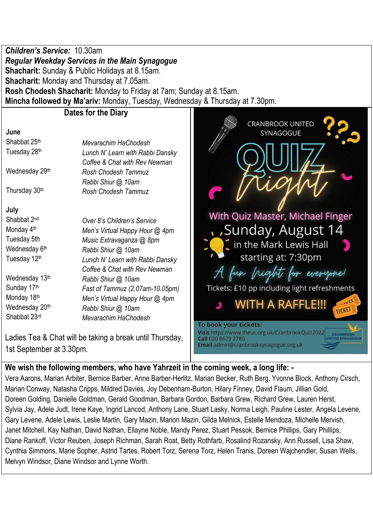*Children's Service:* 10.30am *Regular Weekday Services in the Main Synagogue* **Shacharit:** Sunday & Public Holidays at 8.15am. **Shacharit:** Monday and Thursday at 7.05am. **Rosh Chodesh Shacharit:** Monday to Friday at 7am; Sunday at 8.15am. **Mincha followed by Ma'ariv:** Monday, Tuesday, Wednesday & Thursday at 7.30pm.

#### **Dates for the Diary**

#### **June**

Shabbat 25th *Mevarachim HaChodesh* Tuesday 28th *Lunch N' Learn with Rabbi Dansky Coffee & Chat with Rev Newman* Wednesday 29th *Rosh Chodesh Tammuz Rabbi Shiur @ 10am* Thursday 30th *Rosh Chodesh Tammuz* **July** Shabbat 2<sup>nd</sup> Over 8's Children's Service Monday 4th *Men's Virtual Happy Hour @ 4pm* Tuesday 5th *Music Extravaganza @ 8pm* Wednesday 6th *Rabbi Shiur @ 10am* Tuesday 12th *Lunch N' Learn with Rabbi Dansky*

Shabbat 23rd *Mevarachim HaChodesh*

*Coffee & Chat with Rev Newman* Wednesday 13th *Rabbi Shiur @ 10am* Sunday 17th *Fast of Tammuz (2.07am-10.05pm)* Monday 18th *Men's Virtual Happy Hour @ 4pm* Wednesday 20th *Rabbi Shiur @ 10am*

Ladies Tea & Chat will be taking a break until Thursday, 1st September at 3.30pm.



# **We wish the following members, who have Yahrzeit in the coming week, a long life: -**

Vera Aarons, Marian Arbiter, Bernice Barber, Anne Barber-Herlitz, Marian Becker, Ruth Berg, Yvonne Block, Anthony Cirsch, Marian Conway, Natasha Cripps, Mildred Davies, Joy Debenham-Burton, Hilary Finney, David Flaum, Jillian Gold, Doreen Golding, Danielle Goldman, Gerald Goodman, Barbara Gordon, Barbara Grew, Richard Grew, Lauren Herst, Sylvia Jay, Adele Judt, Irene Kaye, Ingrid Lancod, Anthony Lane, Stuart Lasky, Norma Leigh, Pauline Lester, Angela Levene, Gary Levene, Adele Lewis, Leslie Martin, Gary Mazin, Marion Mazin, Gilda Melnick, Estelle Mendoza, Michelle Mervish, Janet Mitchell, Kay Nathan, David Nathan, Ellayne Noble, Mandy Perez, Stuart Pessok, Bernice Phillips, Gary Phillips, Diane Rankoff, Victor Reuben, Joseph Richman, Sarah Roat, Betty Rothfarb, Rosalind Rozansky, Ann Russell, Lisa Shaw, Cynthia Simmons, Marie Sopher, Astrid Tartes, Robert Torz, Serena Torz, Helen Tranis, Doreen Wajchendler, Susan Wells, Melvyn Windsor, Diane Windsor and Lynne Worth.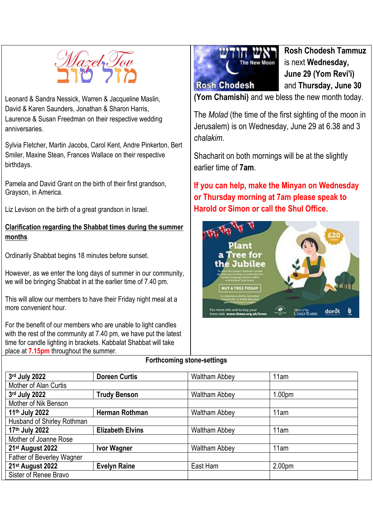

Leonard & Sandra Nessick, Warren & Jacqueline Maslin, David & Karen Saunders, Jonathan & Sharon Harris, Laurence & Susan Freedman on their respective wedding anniversaries.

Sylvia Fletcher, Martin Jacobs, Carol Kent, Andre Pinkerton, Bert Smiler, Maxine Stean, Frances Wallace on their respective birthdays.

Pamela and David Grant on the birth of their first grandson, Grayson, in America.

Liz Levison on the birth of a great grandson in Israel.

#### **Clarification regarding the Shabbat times during the summer months**

Ordinarily Shabbat begins 18 minutes before sunset.

However, as we enter the long days of summer in our community, we will be bringing Shabbat in at the earlier time of 7.40 pm.

This will allow our members to have their Friday night meal at a more convenient hour.

For the benefit of our members who are unable to light candles with the rest of the community at 7.40 pm, we have put the latest time for candle lighting in brackets. Kabbalat Shabbat will take place at **7.15pm** throughout the summer.



**Rosh Chodesh Tammuz** is next **Wednesday, June 29 (Yom Revi'i)**  and **Thursday, June 30**

**(Yom Chamishi)** and we bless the new month today.

The *Molad* (the time of the first sighting of the moon in Jerusalem) is on Wednesday, June 29 at 6.38 and 3 *chalakim*.

Shacharit on both mornings will be at the slightly earlier time of **7am**.

**If you can help, make the Minyan on Wednesday or Thursday morning at 7am please speak to Harold or Simon or call the Shul Office.**



#### **Forthcoming stone-settings**

| 3rd July 2022                     | <b>Doreen Curtis</b>    | <b>Waltham Abbey</b> | 11am               |
|-----------------------------------|-------------------------|----------------------|--------------------|
| Mother of Alan Curtis             |                         |                      |                    |
| 3rd July 2022                     | <b>Trudy Benson</b>     | <b>Waltham Abbey</b> | 1.00 <sub>pm</sub> |
| Mother of Nik Benson              |                         |                      |                    |
| 11th July 2022                    | <b>Herman Rothman</b>   | <b>Waltham Abbey</b> | 11am               |
| <b>Husband of Shirley Rothman</b> |                         |                      |                    |
| 17th July 2022                    | <b>Elizabeth Elvins</b> | <b>Waltham Abbey</b> | 11am               |
| Mother of Joanne Rose             |                         |                      |                    |
| 21 <sup>st</sup> August 2022      | <b>Ivor Wagner</b>      | <b>Waltham Abbey</b> | 11am               |
| Father of Beverley Wagner         |                         |                      |                    |
| 21st August 2022                  | <b>Evelyn Raine</b>     | East Ham             | 2.00pm             |
| Sister of Renee Bravo             |                         |                      |                    |